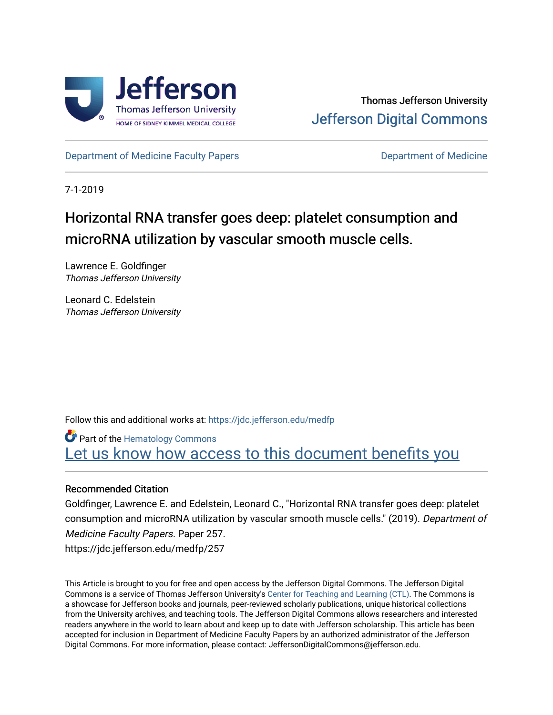

[Department of Medicine Faculty Papers](https://jdc.jefferson.edu/medfp) **Department of Medicine** 

7-1-2019

# Horizontal RNA transfer goes deep: platelet consumption and microRNA utilization by vascular smooth muscle cells.

Lawrence E. Goldfinger Thomas Jefferson University

Leonard C. Edelstein Thomas Jefferson University

Follow this and additional works at: [https://jdc.jefferson.edu/medfp](https://jdc.jefferson.edu/medfp?utm_source=jdc.jefferson.edu%2Fmedfp%2F257&utm_medium=PDF&utm_campaign=PDFCoverPages) 

**Part of the Hematology Commons** Let us know how access to this document benefits you

# Recommended Citation

Goldfinger, Lawrence E. and Edelstein, Leonard C., "Horizontal RNA transfer goes deep: platelet consumption and microRNA utilization by vascular smooth muscle cells." (2019). Department of Medicine Faculty Papers. Paper 257. https://jdc.jefferson.edu/medfp/257

This Article is brought to you for free and open access by the Jefferson Digital Commons. The Jefferson Digital Commons is a service of Thomas Jefferson University's [Center for Teaching and Learning \(CTL\)](http://www.jefferson.edu/university/teaching-learning.html/). The Commons is a showcase for Jefferson books and journals, peer-reviewed scholarly publications, unique historical collections from the University archives, and teaching tools. The Jefferson Digital Commons allows researchers and interested readers anywhere in the world to learn about and keep up to date with Jefferson scholarship. This article has been accepted for inclusion in Department of Medicine Faculty Papers by an authorized administrator of the Jefferson Digital Commons. For more information, please contact: JeffersonDigitalCommons@jefferson.edu.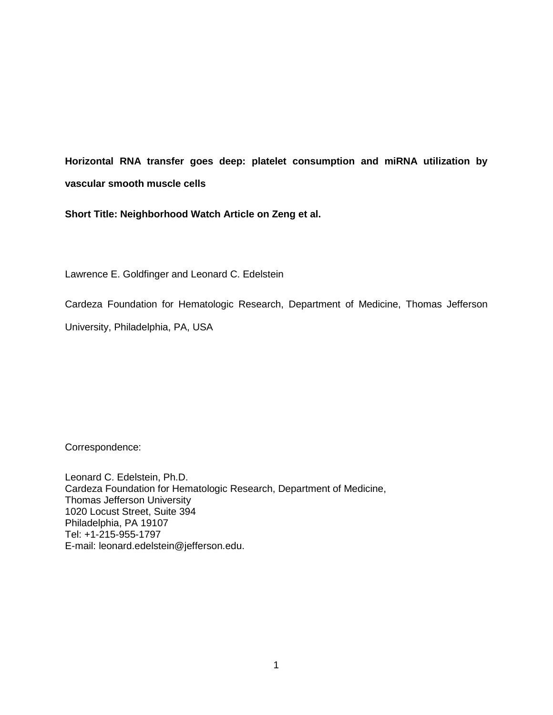**Horizontal RNA transfer goes deep: platelet consumption and miRNA utilization by vascular smooth muscle cells**

**Short Title: Neighborhood Watch Article on Zeng et al.**

Lawrence E. Goldfinger and Leonard C. Edelstein

Cardeza Foundation for Hematologic Research, Department of Medicine, Thomas Jefferson

University, Philadelphia, PA, USA

Correspondence:

Leonard C. Edelstein, Ph.D. Cardeza Foundation for Hematologic Research, Department of Medicine, Thomas Jefferson University 1020 Locust Street, Suite 394 Philadelphia, PA 19107 Tel: +1-215-955-1797 E-mail: leonard.edelstein@jefferson.edu.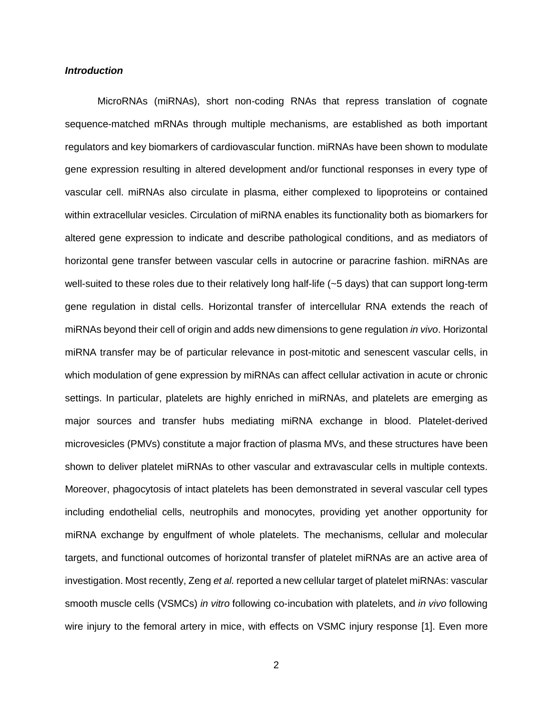## *Introduction*

MicroRNAs (miRNAs), short non-coding RNAs that repress translation of cognate sequence-matched mRNAs through multiple mechanisms, are established as both important regulators and key biomarkers of cardiovascular function. miRNAs have been shown to modulate gene expression resulting in altered development and/or functional responses in every type of vascular cell. miRNAs also circulate in plasma, either complexed to lipoproteins or contained within extracellular vesicles. Circulation of miRNA enables its functionality both as biomarkers for altered gene expression to indicate and describe pathological conditions, and as mediators of horizontal gene transfer between vascular cells in autocrine or paracrine fashion. miRNAs are well-suited to these roles due to their relatively long half-life (~5 days) that can support long-term gene regulation in distal cells. Horizontal transfer of intercellular RNA extends the reach of miRNAs beyond their cell of origin and adds new dimensions to gene regulation *in vivo*. Horizontal miRNA transfer may be of particular relevance in post-mitotic and senescent vascular cells, in which modulation of gene expression by miRNAs can affect cellular activation in acute or chronic settings. In particular, platelets are highly enriched in miRNAs, and platelets are emerging as major sources and transfer hubs mediating miRNA exchange in blood. Platelet-derived microvesicles (PMVs) constitute a major fraction of plasma MVs, and these structures have been shown to deliver platelet miRNAs to other vascular and extravascular cells in multiple contexts. Moreover, phagocytosis of intact platelets has been demonstrated in several vascular cell types including endothelial cells, neutrophils and monocytes, providing yet another opportunity for miRNA exchange by engulfment of whole platelets. The mechanisms, cellular and molecular targets, and functional outcomes of horizontal transfer of platelet miRNAs are an active area of investigation. Most recently, Zeng *et al.* reported a new cellular target of platelet miRNAs: vascular smooth muscle cells (VSMCs) *in vitro* following co-incubation with platelets, and *in vivo* following wire injury to the femoral artery in mice, with effects on VSMC injury response [1]. Even more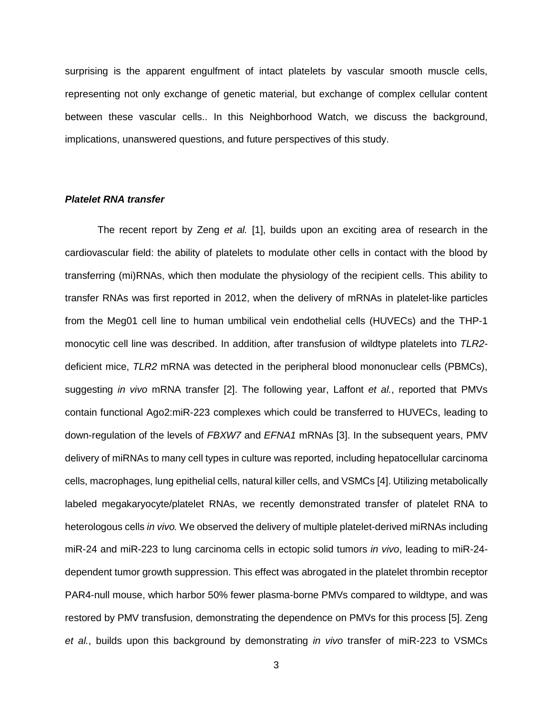surprising is the apparent engulfment of intact platelets by vascular smooth muscle cells, representing not only exchange of genetic material, but exchange of complex cellular content between these vascular cells.. In this Neighborhood Watch, we discuss the background, implications, unanswered questions, and future perspectives of this study.

# *Platelet RNA transfer*

The recent report by Zeng *et al.* [1], builds upon an exciting area of research in the cardiovascular field: the ability of platelets to modulate other cells in contact with the blood by transferring (mi)RNAs, which then modulate the physiology of the recipient cells. This ability to transfer RNAs was first reported in 2012, when the delivery of mRNAs in platelet-like particles from the Meg01 cell line to human umbilical vein endothelial cells (HUVECs) and the THP-1 monocytic cell line was described. In addition, after transfusion of wildtype platelets into *TLR2* deficient mice, *TLR2* mRNA was detected in the peripheral blood mononuclear cells (PBMCs), suggesting *in vivo* mRNA transfer [2]. The following year, Laffont *et al.*, reported that PMVs contain functional Ago2:miR-223 complexes which could be transferred to HUVECs, leading to down-regulation of the levels of *FBXW7* and *EFNA1* mRNAs [3]. In the subsequent years, PMV delivery of miRNAs to many cell types in culture was reported, including hepatocellular carcinoma cells, macrophages, lung epithelial cells, natural killer cells, and VSMCs [4]. Utilizing metabolically labeled megakaryocyte/platelet RNAs, we recently demonstrated transfer of platelet RNA to heterologous cells *in vivo.* We observed the delivery of multiple platelet-derived miRNAs including miR-24 and miR-223 to lung carcinoma cells in ectopic solid tumors *in vivo*, leading to miR-24 dependent tumor growth suppression. This effect was abrogated in the platelet thrombin receptor PAR4-null mouse, which harbor 50% fewer plasma-borne PMVs compared to wildtype, and was restored by PMV transfusion, demonstrating the dependence on PMVs for this process [5]. Zeng *et al.*, builds upon this background by demonstrating *in vivo* transfer of miR-223 to VSMCs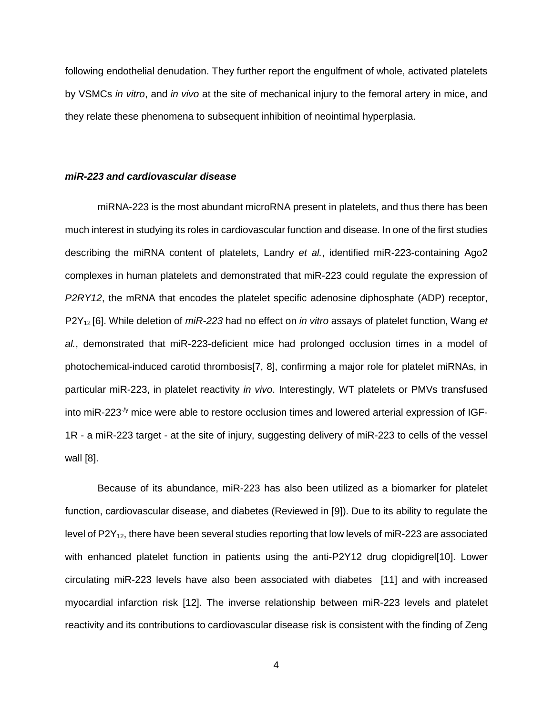following endothelial denudation. They further report the engulfment of whole, activated platelets by VSMCs *in vitro*, and *in vivo* at the site of mechanical injury to the femoral artery in mice, and they relate these phenomena to subsequent inhibition of neointimal hyperplasia.

## *miR-223 and cardiovascular disease*

miRNA-223 is the most abundant microRNA present in platelets, and thus there has been much interest in studying its roles in cardiovascular function and disease. In one of the first studies describing the miRNA content of platelets, Landry *et al.*, identified miR-223-containing Ago2 complexes in human platelets and demonstrated that miR-223 could regulate the expression of *P2RY12*, the mRNA that encodes the platelet specific adenosine diphosphate (ADP) receptor, P2Y<sup>12</sup> [6]. While deletion of *miR-223* had no effect on *in vitro* assays of platelet function, Wang *et al.*, demonstrated that miR-223-deficient mice had prolonged occlusion times in a model of photochemical-induced carotid thrombosis[7, 8], confirming a major role for platelet miRNAs, in particular miR-223, in platelet reactivity *in vivo*. Interestingly, WT platelets or PMVs transfused into miR-223 $\frac{1}{2}$  mice were able to restore occlusion times and lowered arterial expression of IGF-1R - a miR-223 target - at the site of injury, suggesting delivery of miR-223 to cells of the vessel wall [8].

Because of its abundance, miR-223 has also been utilized as a biomarker for platelet function, cardiovascular disease, and diabetes (Reviewed in [9]). Due to its ability to regulate the level of  $P2Y_{12}$ , there have been several studies reporting that low levels of miR-223 are associated with enhanced platelet function in patients using the anti-P2Y12 drug clopidigrel[10]. Lower circulating miR-223 levels have also been associated with diabetes [11] and with increased myocardial infarction risk [12]. The inverse relationship between miR-223 levels and platelet reactivity and its contributions to cardiovascular disease risk is consistent with the finding of Zeng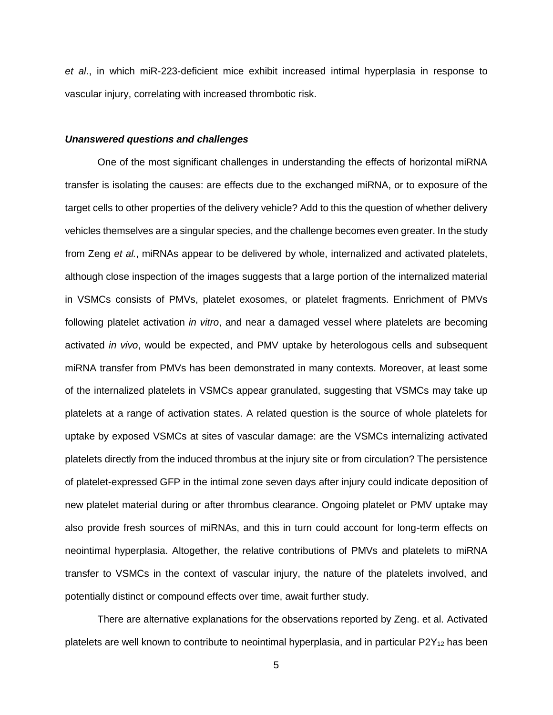*et al*., in which miR-223-deficient mice exhibit increased intimal hyperplasia in response to vascular injury, correlating with increased thrombotic risk.

## *Unanswered questions and challenges*

One of the most significant challenges in understanding the effects of horizontal miRNA transfer is isolating the causes: are effects due to the exchanged miRNA, or to exposure of the target cells to other properties of the delivery vehicle? Add to this the question of whether delivery vehicles themselves are a singular species, and the challenge becomes even greater. In the study from Zeng *et al.*, miRNAs appear to be delivered by whole, internalized and activated platelets, although close inspection of the images suggests that a large portion of the internalized material in VSMCs consists of PMVs, platelet exosomes, or platelet fragments. Enrichment of PMVs following platelet activation *in vitro*, and near a damaged vessel where platelets are becoming activated *in vivo*, would be expected, and PMV uptake by heterologous cells and subsequent miRNA transfer from PMVs has been demonstrated in many contexts. Moreover, at least some of the internalized platelets in VSMCs appear granulated, suggesting that VSMCs may take up platelets at a range of activation states. A related question is the source of whole platelets for uptake by exposed VSMCs at sites of vascular damage: are the VSMCs internalizing activated platelets directly from the induced thrombus at the injury site or from circulation? The persistence of platelet-expressed GFP in the intimal zone seven days after injury could indicate deposition of new platelet material during or after thrombus clearance. Ongoing platelet or PMV uptake may also provide fresh sources of miRNAs, and this in turn could account for long-term effects on neointimal hyperplasia. Altogether, the relative contributions of PMVs and platelets to miRNA transfer to VSMCs in the context of vascular injury, the nature of the platelets involved, and potentially distinct or compound effects over time, await further study.

There are alternative explanations for the observations reported by Zeng. et al. Activated platelets are well known to contribute to neointimal hyperplasia, and in particular  $P2Y_{12}$  has been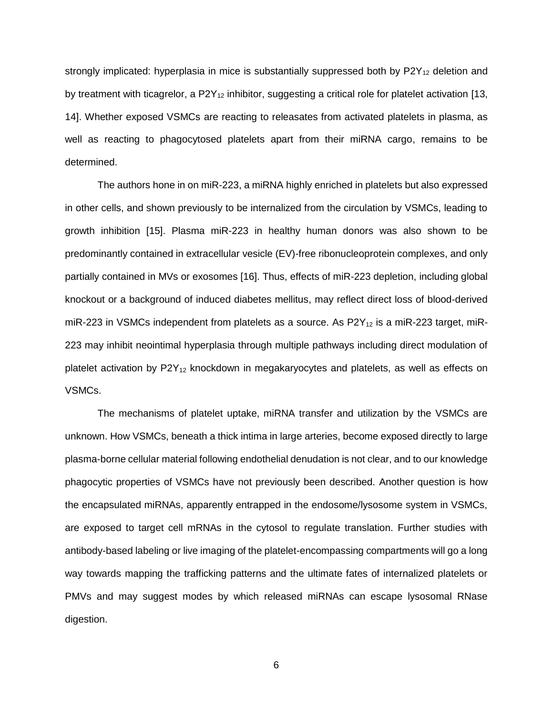strongly implicated: hyperplasia in mice is substantially suppressed both by  $P2Y_{12}$  deletion and by treatment with ticagrelor, a  $P2Y_{12}$  inhibitor, suggesting a critical role for platelet activation [13, 14]. Whether exposed VSMCs are reacting to releasates from activated platelets in plasma, as well as reacting to phagocytosed platelets apart from their miRNA cargo, remains to be determined.

The authors hone in on miR-223, a miRNA highly enriched in platelets but also expressed in other cells, and shown previously to be internalized from the circulation by VSMCs, leading to growth inhibition [15]. Plasma miR-223 in healthy human donors was also shown to be predominantly contained in extracellular vesicle (EV)-free ribonucleoprotein complexes, and only partially contained in MVs or exosomes [16]. Thus, effects of miR-223 depletion, including global knockout or a background of induced diabetes mellitus, may reflect direct loss of blood-derived miR-223 in VSMCs independent from platelets as a source. As  $P2Y_{12}$  is a miR-223 target, miR-223 may inhibit neointimal hyperplasia through multiple pathways including direct modulation of platelet activation by  $P2Y_{12}$  knockdown in megakaryocytes and platelets, as well as effects on VSMCs.

The mechanisms of platelet uptake, miRNA transfer and utilization by the VSMCs are unknown. How VSMCs, beneath a thick intima in large arteries, become exposed directly to large plasma-borne cellular material following endothelial denudation is not clear, and to our knowledge phagocytic properties of VSMCs have not previously been described. Another question is how the encapsulated miRNAs, apparently entrapped in the endosome/lysosome system in VSMCs, are exposed to target cell mRNAs in the cytosol to regulate translation. Further studies with antibody-based labeling or live imaging of the platelet-encompassing compartments will go a long way towards mapping the trafficking patterns and the ultimate fates of internalized platelets or PMVs and may suggest modes by which released miRNAs can escape lysosomal RNase digestion.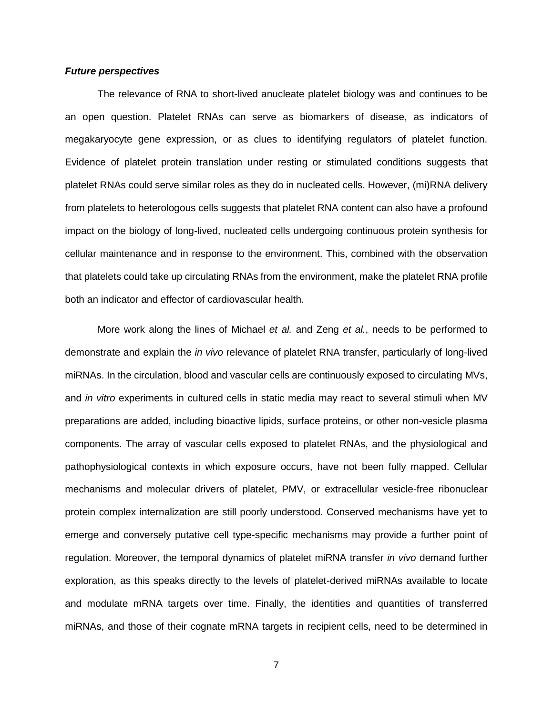#### *Future perspectives*

The relevance of RNA to short-lived anucleate platelet biology was and continues to be an open question. Platelet RNAs can serve as biomarkers of disease, as indicators of megakaryocyte gene expression, or as clues to identifying regulators of platelet function. Evidence of platelet protein translation under resting or stimulated conditions suggests that platelet RNAs could serve similar roles as they do in nucleated cells. However, (mi)RNA delivery from platelets to heterologous cells suggests that platelet RNA content can also have a profound impact on the biology of long-lived, nucleated cells undergoing continuous protein synthesis for cellular maintenance and in response to the environment. This, combined with the observation that platelets could take up circulating RNAs from the environment, make the platelet RNA profile both an indicator and effector of cardiovascular health.

More work along the lines of Michael *et al.* and Zeng *et al.*, needs to be performed to demonstrate and explain the *in vivo* relevance of platelet RNA transfer, particularly of long-lived miRNAs. In the circulation, blood and vascular cells are continuously exposed to circulating MVs, and *in vitro* experiments in cultured cells in static media may react to several stimuli when MV preparations are added, including bioactive lipids, surface proteins, or other non-vesicle plasma components. The array of vascular cells exposed to platelet RNAs, and the physiological and pathophysiological contexts in which exposure occurs, have not been fully mapped. Cellular mechanisms and molecular drivers of platelet, PMV, or extracellular vesicle-free ribonuclear protein complex internalization are still poorly understood. Conserved mechanisms have yet to emerge and conversely putative cell type-specific mechanisms may provide a further point of regulation. Moreover, the temporal dynamics of platelet miRNA transfer *in vivo* demand further exploration, as this speaks directly to the levels of platelet-derived miRNAs available to locate and modulate mRNA targets over time. Finally, the identities and quantities of transferred miRNAs, and those of their cognate mRNA targets in recipient cells, need to be determined in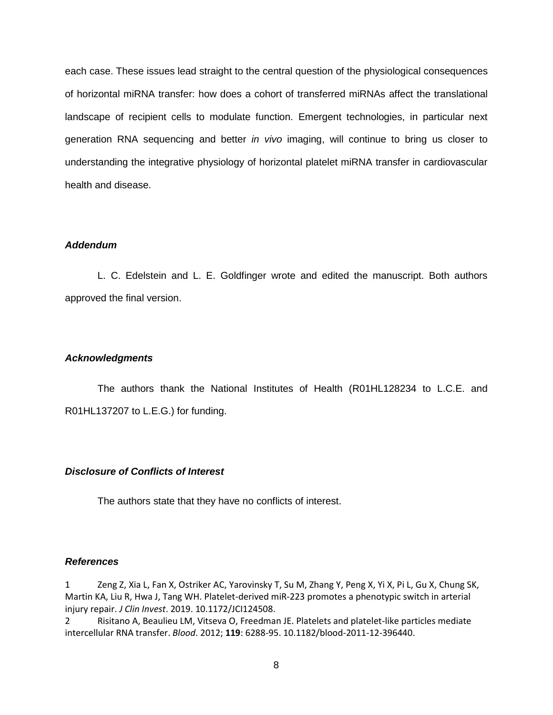each case. These issues lead straight to the central question of the physiological consequences of horizontal miRNA transfer: how does a cohort of transferred miRNAs affect the translational landscape of recipient cells to modulate function. Emergent technologies, in particular next generation RNA sequencing and better *in vivo* imaging, will continue to bring us closer to understanding the integrative physiology of horizontal platelet miRNA transfer in cardiovascular health and disease.

# *Addendum*

L. C. Edelstein and L. E. Goldfinger wrote and edited the manuscript. Both authors approved the final version.

# *Acknowledgments*

The authors thank the National Institutes of Health (R01HL128234 to L.C.E. and R01HL137207 to L.E.G.) for funding.

## *Disclosure of Conflicts of Interest*

The authors state that they have no conflicts of interest.

#### *References*

1 Zeng Z, Xia L, Fan X, Ostriker AC, Yarovinsky T, Su M, Zhang Y, Peng X, Yi X, Pi L, Gu X, Chung SK, Martin KA, Liu R, Hwa J, Tang WH. Platelet-derived miR-223 promotes a phenotypic switch in arterial injury repair. *J Clin Invest*. 2019. 10.1172/JCI124508.

2 Risitano A, Beaulieu LM, Vitseva O, Freedman JE. Platelets and platelet-like particles mediate intercellular RNA transfer. *Blood*. 2012; **119**: 6288-95. 10.1182/blood-2011-12-396440.